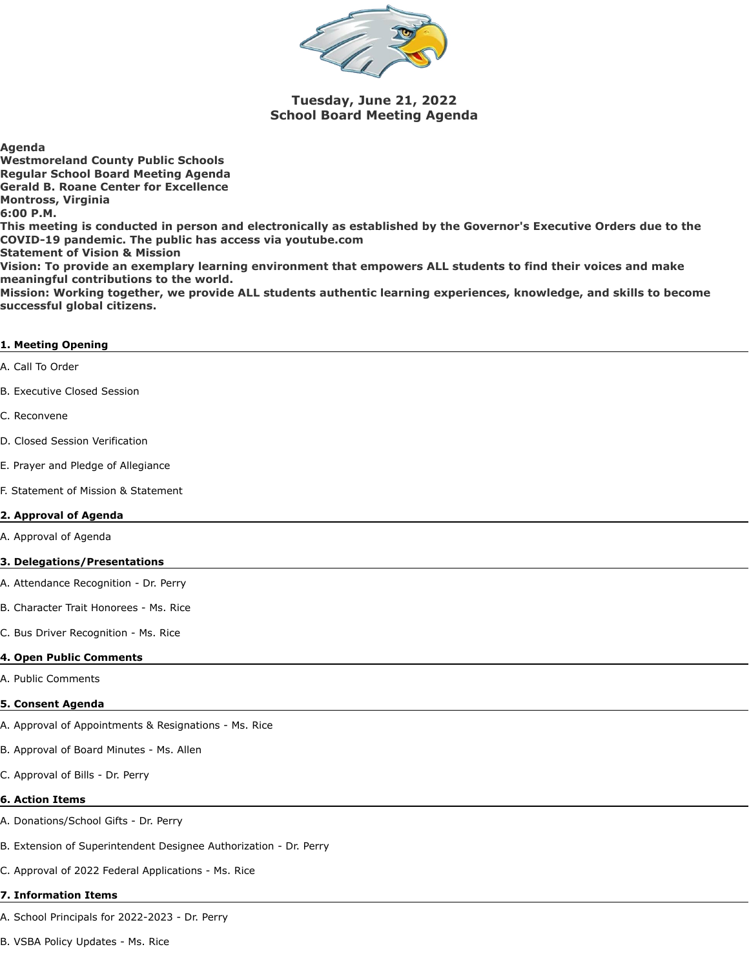

# **Tuesday, June 21, 2022 School Board Meeting Agenda**

**Agenda Westmoreland County Public Schools Regular School Board Meeting Agenda Gerald B. Roane Center for Excellence Montross, Virginia 6:00 P.M. This meeting is conducted in person and electronically as established by the Governor's Executive Orders due to the COVID-19 pandemic. The public has access via youtube.com Statement of Vision & Mission Vision: To provide an exemplary learning environment that empowers ALL students to find their voices and make meaningful contributions to the world.**

**Mission: Working together, we provide ALL students authentic learning experiences, knowledge, and skills to become successful global citizens.**

### **1. Meeting Opening**

A. Call To Order

B. Executive Closed Session

C. Reconvene

D. Closed Session Verification

E. Prayer and Pledge of Allegiance

F. Statement of Mission & Statement

### **2. Approval of Agenda**

A. Approval of Agenda

#### **3. Delegations/Presentations**

A. Attendance Recognition - Dr. Perry

B. Character Trait Honorees - Ms. Rice

C. Bus Driver Recognition - Ms. Rice

#### **4. Open Public Comments**

A. Public Comments

#### **5. Consent Agenda**

A. Approval of Appointments & Resignations - Ms. Rice

B. Approval of Board Minutes - Ms. Allen

C. Approval of Bills - Dr. Perry

#### **6. Action Items**

A. Donations/School Gifts - Dr. Perry

B. Extension of Superintendent Designee Authorization - Dr. Perry

C. Approval of 2022 Federal Applications - Ms. Rice

#### **7. Information Items**

A. School Principals for 2022-2023 - Dr. Perry

B. VSBA Policy Updates - Ms. Rice